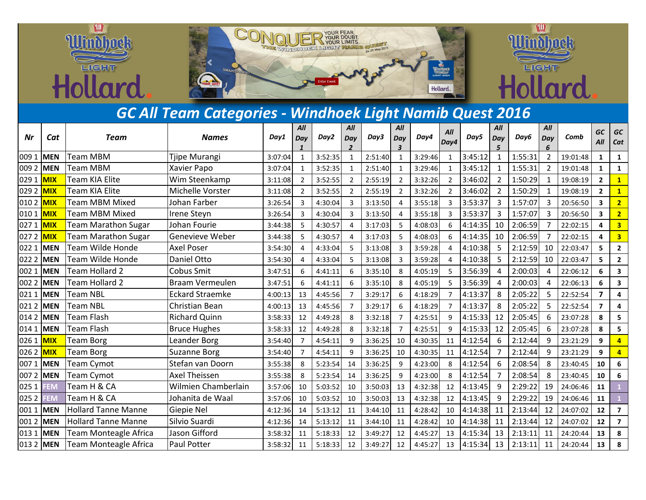

## *GC All Team Categories - Windhoek Light Namib Quest 2016*

| Nr        | Cat         | Team                         | <b>Names</b>           | Day1    | All<br>Day     | Day2    | All<br>Day     | Day3    | All<br>Day | Day4    | All<br>Day4     | Day5    | All<br>Day     | Day6    | All<br>Day     | Comb     | <b>GC</b><br>All        | GC<br>Cat               |
|-----------|-------------|------------------------------|------------------------|---------|----------------|---------|----------------|---------|------------|---------|-----------------|---------|----------------|---------|----------------|----------|-------------------------|-------------------------|
| 009 1     | <b>IMEN</b> | Team MBM                     | Tjipe Murangi          | 3:07:04 |                | 3:52:35 |                | 2:51:40 |            | 3:29:46 |                 | 3:45:12 | 1              | 1:55:31 | $\overline{2}$ | 19:01:48 | 1                       | 1                       |
| 0092      | <b>MEN</b>  | Team MBM                     | Xavier Papo            | 3:07:04 |                | 3:52:35 |                | 2:51:40 |            | 3:29:46 |                 | 3:45:12 |                | 1:55:31 | $\overline{2}$ | 19:01:48 | $\mathbf{1}$            | $\mathbf{1}$            |
| 0291      | <b>MIX</b>  | Team KIA Elite               | Wim Steenkamp          | 3:11:08 |                | 3:52:55 |                | 2:55:19 |            | 3:32:26 | $\mathcal{P}$   | 3:46:02 | $\overline{2}$ | 1:50:29 | 1              | 19:08:19 | $\overline{2}$          | $\mathbf{1}$            |
| 0292      | MIX         | Team KIA Elite               | Michelle Vorster       | 3:11:08 | $\overline{2}$ | 3:52:55 | $\overline{2}$ | 2:55:19 | 2          | 3:32:26 | $\overline{2}$  | 3:46:02 | $\overline{2}$ | 1:50:29 | $\mathbf{1}$   | 19:08:19 | $\overline{2}$          | $\mathbf{1}$            |
| 0102      | <b>MIX</b>  | Team MBM Mixed               | Johan Farber           | 3:26:54 |                | 4:30:04 | 3              | 3:13:50 |            | 3:55:18 | 3               | 3:53:37 | 3              | 1:57:07 | 3              | 20:56:50 | 3                       | $\overline{2}$          |
| 0101      | MIX         | Team MBM Mixed               | Irene Steyn            | 3:26:54 | 3              | 4:30:04 | $\overline{3}$ | 3:13:50 | Δ          | 3:55:18 | $\overline{3}$  | 3:53:37 | 3              | 1:57:07 | 3              | 20:56:50 | $\overline{\mathbf{3}}$ | $\overline{2}$          |
| 0271      | <b>MIX</b>  | Team Marathon Sugar          | Johan Fourie           | 3:44:38 |                | 4:30:57 | 4              | 3:17:03 | 5          | 4:08:03 | 6               | 4:14:35 | 10             | 2:06:59 |                | 22:02:15 | 4                       | 3                       |
| 0272      | <b>MIX</b>  | Team Marathon Sugar          | Genevieve Weber        | 3:44:38 |                | 4:30:57 |                | 3:17:03 | 5          | 4:08:03 | 6               | 4:14:35 | 10             | 2:06:59 |                | 22:02:15 | $\overline{\mathbf{4}}$ | $\overline{\mathbf{3}}$ |
| 0221      | <b>MEN</b>  | Team Wilde Honde             | <b>Axel Poser</b>      | 3:54:30 |                | 4:33:04 | 5              | 3:13:08 | 3          | 3:59:28 | 4               | 4:10:38 | 5              | 2:12:59 | 10             | 22:03:47 | 5                       | $\overline{2}$          |
| 0222      | <b>MEN</b>  | Team Wilde Honde             | Daniel Otto            | 3:54:30 |                | 4:33:04 |                | 3:13:08 | 3          | 3:59:28 |                 | 4:10:38 | 5              | 2:12:59 | 10             | 22:03:47 | 5                       | $\overline{2}$          |
| 0021      | <b>MEN</b>  | Team Hollard 2               | Cobus Smit             | 3:47:51 | 6              | 4:41:11 | 6              | 3:35:10 | 8          | 4:05:19 | 5               | 3:56:39 | 4              | 2:00:03 | 4              | 22:06:12 | 6                       | 3                       |
| 0022      | <b>MEN</b>  | Team Hollard 2               | Braam Vermeulen        | 3:47:51 | 6              | 4:41:11 | 6              | 3:35:10 | 8          | 4:05:19 | 5               | 3:56:39 | 4              | 2:00:03 | 4              | 22:06:13 | 6                       | 3                       |
| 0211      | <b>MEN</b>  | Team NBL                     | <b>Eckard Straemke</b> | 4:00:13 | 13             | 4:45:56 |                | 3:29:17 | 6          | 4:18:29 |                 | 4:13:37 | 8              | 2:05:22 | 5              | 22:52:54 | $\overline{\mathbf{z}}$ | 4                       |
| 0212      | <b>MEN</b>  | <b>Team NBL</b>              | <b>Christian Bean</b>  | 4:00:13 | 13             | 4:45:56 | $\overline{7}$ | 3:29:17 | 6          | 4:18:29 |                 | 4:13:37 | 8              | 2:05:22 | 5              | 22:52:54 | $\overline{7}$          | 4                       |
| 0142      | <b>MEN</b>  | Team Flash                   | <b>Richard Quinn</b>   | 3:58:33 | 12             | 4:49:28 | 8              | 3:32:18 |            | 4:25:51 | 9               | 4:15:33 | 12             | 2:05:45 | 6              | 23:07:28 | 8                       | 5                       |
| 0141      | <b>MEN</b>  | Team Flash                   | <b>Bruce Hughes</b>    | 3:58:33 | 12             | 4:49:28 | 8              | 3:32:18 |            | 4:25:51 | 9               | 4:15:33 | 12             | 2:05:45 | 6              | 23:07:28 | 8                       | 5                       |
| 0261      | <b>MIX</b>  | <b>Team Borg</b>             | Leander Borg           | 3:54:40 |                | 4:54:11 | 9              | 3:36:25 | 10         | 4:30:35 | 11              | 4:12:54 | 6              | 2:12:44 | 9              | 23:21:29 | 9                       |                         |
| 026 2 MIX |             | <b>Team Borg</b>             | <b>Suzanne Borg</b>    | 3:54:40 |                | 4:54:11 | q              | 3:36:25 | 10         | 4:30:35 | 11              | 4:12:54 |                | 2:12:44 | 9              | 23:21:29 | 9                       |                         |
| 0071      | MEN         | Team Cymot                   | Stefan van Doorn       | 3:55:38 | 8              | 5:23:54 | 14             | 3:36:25 | 9          | 4:23:00 | 8               | 4:12:54 | 6              | 2:08:54 | 8              | 23:40:45 | 10                      | 6                       |
| 0072      | <b>MEN</b>  | Team Cymot                   | Axel Theissen          | 3:55:38 | 8              | 5:23:54 | 14             | 3:36:25 | 9          | 4:23:00 | 8               | 4:12:54 |                | 2:08:54 | 8              | 23:40:45 | 10                      | 6                       |
| 0251      | <b>EM</b>   | Team H & CA                  | Wilmien Chamberlain    | 3:57:06 | 10             | 5:03:52 | 10             | 3:50:03 | 13         | 4:32:38 | 12              | 4:13:45 | 9              | 2:29:22 | 19             | 24:06:46 | 11                      |                         |
| 0252      | <b>EM</b>   | Team H & CA                  | Johanita de Waal       | 3:57:06 | 10             | 5:03:52 | 10             | 3:50:03 | 13         | 4:32:38 | 12              | 4:13:45 | 9              | 2:29:22 | 19             | 24:06:46 | 11                      |                         |
| 0011      | <b>MEN</b>  | <b>Hollard Tanne Manne</b>   | Giepie Nel             | 4:12:36 | 14             | 5:13:12 | 11             | 3:44:10 | 11         | 4:28:42 | 10 <sup>1</sup> | 4:14:38 | 11             | 2:13:44 | 12             | 24:07:02 | 12                      | $\overline{7}$          |
| 0012      | <b>MEN</b>  | <b>Hollard Tanne Manne</b>   | Silvio Suardi          | 4:12:36 | 14             | 5:13:12 | 11             | 3:44:10 | 11         | 4:28:42 | 10              | 4:14:38 | 11             | 2:13:44 | 12             | 24:07:02 | 12                      | $\overline{7}$          |
| 0131      | <b>MEN</b>  | <b>Team Monteagle Africa</b> | Jason Gifford          | 3:58:32 | 11             | 5:18:33 | 12             | 3:49:27 | 12         | 4:45:27 | 13              | 4:15:34 | 13             | 2:13:11 | 11             | 24:20:44 | 13                      | 8                       |
| 013 2 MEN |             | Team Monteagle Africa        | Paul Potter            | 3:58:32 | 11             | 5:18:33 | 12             | 3:49:27 | 12         | 4:45:27 | 13              | 4:15:34 | 13             | 2:13:11 | 11             | 24:20:44 | 13                      | 8                       |